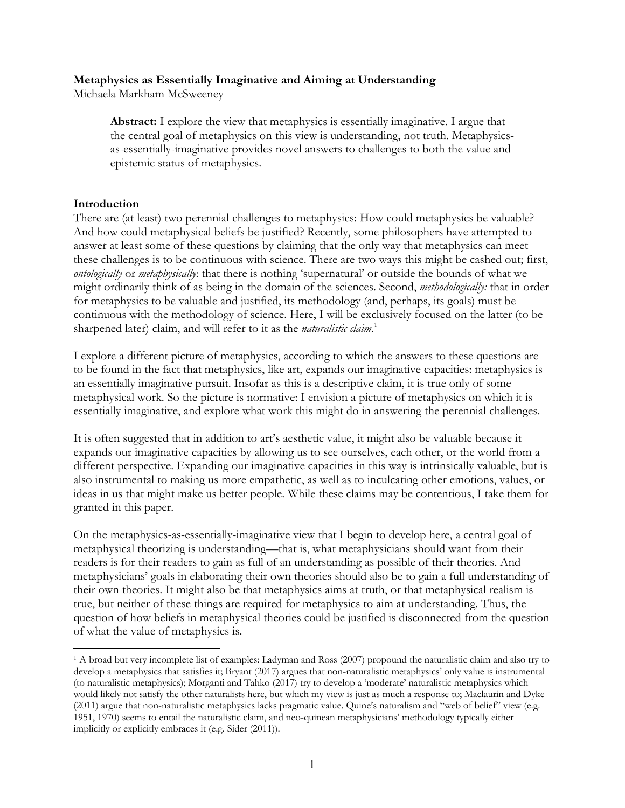### **Metaphysics as Essentially Imaginative and Aiming at Understanding**

Michaela Markham McSweeney

**Abstract:** I explore the view that metaphysics is essentially imaginative. I argue that the central goal of metaphysics on this view is understanding, not truth. Metaphysicsas-essentially-imaginative provides novel answers to challenges to both the value and epistemic status of metaphysics.

### **Introduction**

There are (at least) two perennial challenges to metaphysics: How could metaphysics be valuable? And how could metaphysical beliefs be justified? Recently, some philosophers have attempted to answer at least some of these questions by claiming that the only way that metaphysics can meet these challenges is to be continuous with science. There are two ways this might be cashed out; first, *ontologically* or *metaphysically*: that there is nothing 'supernatural' or outside the bounds of what we might ordinarily think of as being in the domain of the sciences. Second, *methodologically:* that in order for metaphysics to be valuable and justified, its methodology (and, perhaps, its goals) must be continuous with the methodology of science. Here, I will be exclusively focused on the latter (to be sharpened later) claim, and will refer to it as the *naturalistic claim.* 1

I explore a different picture of metaphysics, according to which the answers to these questions are to be found in the fact that metaphysics, like art, expands our imaginative capacities: metaphysics is an essentially imaginative pursuit. Insofar as this is a descriptive claim, it is true only of some metaphysical work. So the picture is normative: I envision a picture of metaphysics on which it is essentially imaginative, and explore what work this might do in answering the perennial challenges.

It is often suggested that in addition to art's aesthetic value, it might also be valuable because it expands our imaginative capacities by allowing us to see ourselves, each other, or the world from a different perspective. Expanding our imaginative capacities in this way is intrinsically valuable, but is also instrumental to making us more empathetic, as well as to inculcating other emotions, values, or ideas in us that might make us better people. While these claims may be contentious, I take them for granted in this paper.

On the metaphysics-as-essentially-imaginative view that I begin to develop here, a central goal of metaphysical theorizing is understanding—that is, what metaphysicians should want from their readers is for their readers to gain as full of an understanding as possible of their theories. And metaphysicians' goals in elaborating their own theories should also be to gain a full understanding of their own theories. It might also be that metaphysics aims at truth, or that metaphysical realism is true, but neither of these things are required for metaphysics to aim at understanding. Thus, the question of how beliefs in metaphysical theories could be justified is disconnected from the question of what the value of metaphysics is.

<sup>&</sup>lt;sup>1</sup> A broad but very incomplete list of examples: Ladyman and Ross (2007) propound the naturalistic claim and also try to develop a metaphysics that satisfies it; Bryant (2017) argues that non-naturalistic metaphysics' only value is instrumental (to naturalistic metaphysics); Morganti and Tahko (2017) try to develop a 'moderate' naturalistic metaphysics which would likely not satisfy the other naturalists here, but which my view is just as much a response to; Maclaurin and Dyke (2011) argue that non-naturalistic metaphysics lacks pragmatic value. Quine's naturalism and "web of belief" view (e.g. 1951, 1970) seems to entail the naturalistic claim, and neo-quinean metaphysicians' methodology typically either implicitly or explicitly embraces it (e.g. Sider (2011)).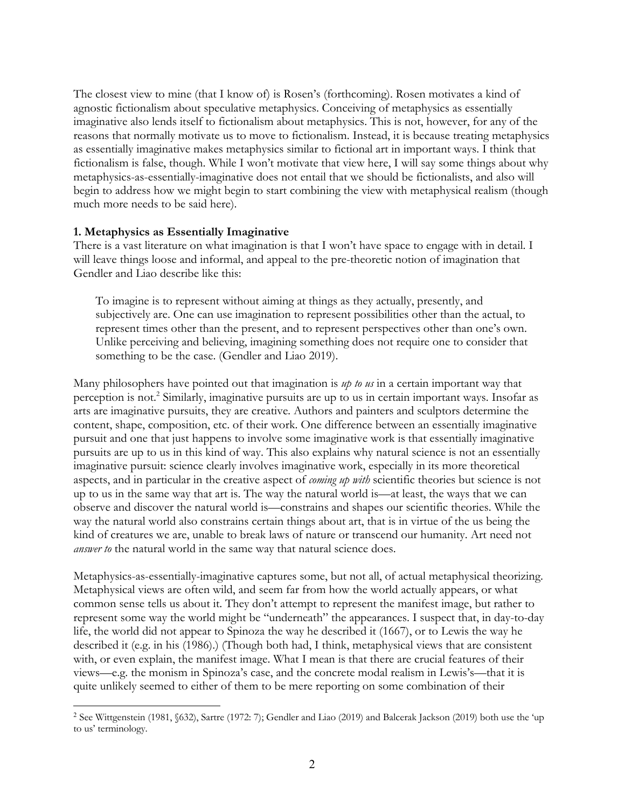The closest view to mine (that I know of) is Rosen's (forthcoming). Rosen motivates a kind of agnostic fictionalism about speculative metaphysics. Conceiving of metaphysics as essentially imaginative also lends itself to fictionalism about metaphysics. This is not, however, for any of the reasons that normally motivate us to move to fictionalism. Instead, it is because treating metaphysics as essentially imaginative makes metaphysics similar to fictional art in important ways. I think that fictionalism is false, though. While I won't motivate that view here, I will say some things about why metaphysics-as-essentially-imaginative does not entail that we should be fictionalists, and also will begin to address how we might begin to start combining the view with metaphysical realism (though much more needs to be said here).

#### **1. Metaphysics as Essentially Imaginative**

There is a vast literature on what imagination is that I won't have space to engage with in detail. I will leave things loose and informal, and appeal to the pre-theoretic notion of imagination that Gendler and Liao describe like this:

To imagine is to represent without aiming at things as they actually, presently, and subjectively are. One can use imagination to represent possibilities other than the actual, to represent times other than the present, and to represent perspectives other than one's own. Unlike perceiving and believing, imagining something does not require one to consider that something to be the case. (Gendler and Liao 2019).

Many philosophers have pointed out that imagination is *up to us* in a certain important way that perception is not.2 Similarly, imaginative pursuits are up to us in certain important ways. Insofar as arts are imaginative pursuits, they are creative*.* Authors and painters and sculptors determine the content, shape, composition, etc. of their work. One difference between an essentially imaginative pursuit and one that just happens to involve some imaginative work is that essentially imaginative pursuits are up to us in this kind of way. This also explains why natural science is not an essentially imaginative pursuit: science clearly involves imaginative work, especially in its more theoretical aspects, and in particular in the creative aspect of *coming up with* scientific theories but science is not up to us in the same way that art is. The way the natural world is—at least, the ways that we can observe and discover the natural world is—constrains and shapes our scientific theories. While the way the natural world also constrains certain things about art, that is in virtue of the us being the kind of creatures we are, unable to break laws of nature or transcend our humanity. Art need not *answer to* the natural world in the same way that natural science does.

Metaphysics-as-essentially-imaginative captures some, but not all, of actual metaphysical theorizing. Metaphysical views are often wild, and seem far from how the world actually appears, or what common sense tells us about it. They don't attempt to represent the manifest image, but rather to represent some way the world might be "underneath" the appearances. I suspect that, in day-to-day life, the world did not appear to Spinoza the way he described it (1667), or to Lewis the way he described it (e.g. in his (1986).) (Though both had, I think, metaphysical views that are consistent with, or even explain, the manifest image. What I mean is that there are crucial features of their views—e.g. the monism in Spinoza's case, and the concrete modal realism in Lewis's—that it is quite unlikely seemed to either of them to be mere reporting on some combination of their

 <sup>2</sup> See Wittgenstein (1981, §632), Sartre (1972: 7); Gendler and Liao (2019) and Balcerak Jackson (2019) both use the 'up to us' terminology.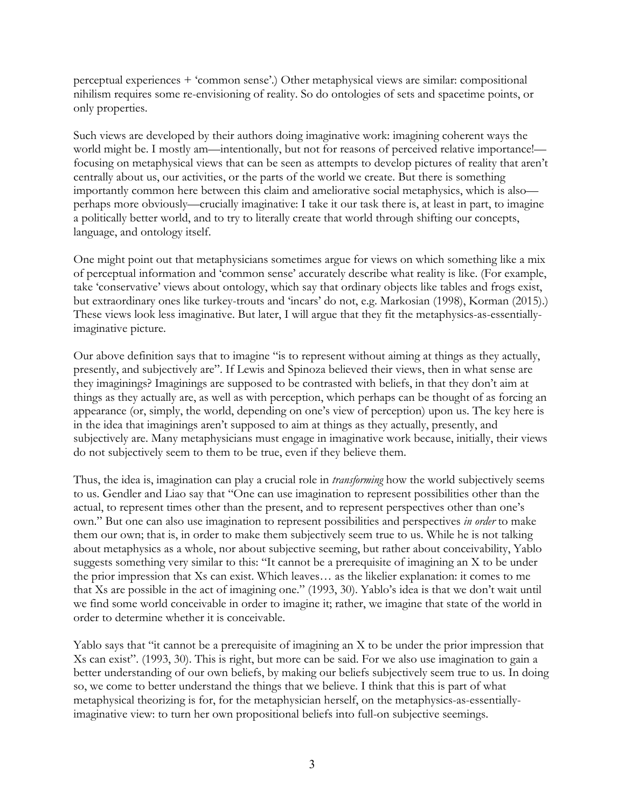perceptual experiences + 'common sense'.) Other metaphysical views are similar: compositional nihilism requires some re-envisioning of reality. So do ontologies of sets and spacetime points, or only properties.

Such views are developed by their authors doing imaginative work: imagining coherent ways the world might be. I mostly am—intentionally, but not for reasons of perceived relative importance! focusing on metaphysical views that can be seen as attempts to develop pictures of reality that aren't centrally about us, our activities, or the parts of the world we create. But there is something importantly common here between this claim and ameliorative social metaphysics, which is also perhaps more obviously—crucially imaginative: I take it our task there is, at least in part, to imagine a politically better world, and to try to literally create that world through shifting our concepts, language, and ontology itself.

One might point out that metaphysicians sometimes argue for views on which something like a mix of perceptual information and 'common sense' accurately describe what reality is like. (For example, take 'conservative' views about ontology, which say that ordinary objects like tables and frogs exist, but extraordinary ones like turkey-trouts and 'incars' do not, e.g. Markosian (1998), Korman (2015).) These views look less imaginative. But later, I will argue that they fit the metaphysics-as-essentiallyimaginative picture.

Our above definition says that to imagine "is to represent without aiming at things as they actually, presently, and subjectively are". If Lewis and Spinoza believed their views, then in what sense are they imaginings? Imaginings are supposed to be contrasted with beliefs, in that they don't aim at things as they actually are, as well as with perception, which perhaps can be thought of as forcing an appearance (or, simply, the world, depending on one's view of perception) upon us. The key here is in the idea that imaginings aren't supposed to aim at things as they actually, presently, and subjectively are. Many metaphysicians must engage in imaginative work because, initially, their views do not subjectively seem to them to be true, even if they believe them.

Thus, the idea is, imagination can play a crucial role in *transforming* how the world subjectively seems to us. Gendler and Liao say that "One can use imagination to represent possibilities other than the actual, to represent times other than the present, and to represent perspectives other than one's own." But one can also use imagination to represent possibilities and perspectives *in order* to make them our own; that is, in order to make them subjectively seem true to us. While he is not talking about metaphysics as a whole, nor about subjective seeming, but rather about conceivability, Yablo suggests something very similar to this: "It cannot be a prerequisite of imagining an X to be under the prior impression that Xs can exist. Which leaves… as the likelier explanation: it comes to me that Xs are possible in the act of imagining one." (1993, 30). Yablo's idea is that we don't wait until we find some world conceivable in order to imagine it; rather, we imagine that state of the world in order to determine whether it is conceivable.

Yablo says that "it cannot be a prerequisite of imagining an X to be under the prior impression that Xs can exist". (1993, 30). This is right, but more can be said. For we also use imagination to gain a better understanding of our own beliefs, by making our beliefs subjectively seem true to us. In doing so, we come to better understand the things that we believe. I think that this is part of what metaphysical theorizing is for, for the metaphysician herself, on the metaphysics-as-essentiallyimaginative view: to turn her own propositional beliefs into full-on subjective seemings.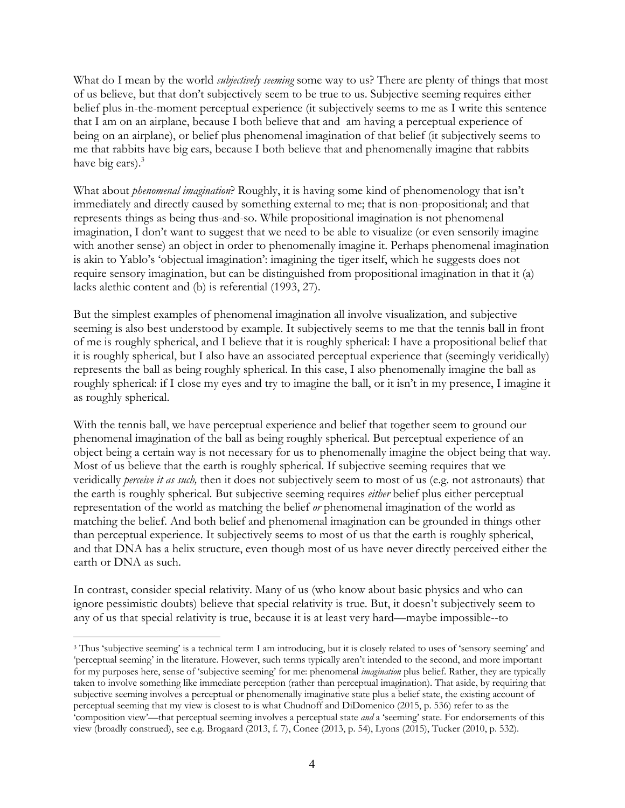What do I mean by the world *subjectively seeming* some way to us? There are plenty of things that most of us believe, but that don't subjectively seem to be true to us. Subjective seeming requires either belief plus in-the-moment perceptual experience (it subjectively seems to me as I write this sentence that I am on an airplane, because I both believe that and am having a perceptual experience of being on an airplane), or belief plus phenomenal imagination of that belief (it subjectively seems to me that rabbits have big ears, because I both believe that and phenomenally imagine that rabbits have big ears).<sup>3</sup>

What about *phenomenal imagination*? Roughly, it is having some kind of phenomenology that isn't immediately and directly caused by something external to me; that is non-propositional; and that represents things as being thus-and-so. While propositional imagination is not phenomenal imagination, I don't want to suggest that we need to be able to visualize (or even sensorily imagine with another sense) an object in order to phenomenally imagine it. Perhaps phenomenal imagination is akin to Yablo's 'objectual imagination': imagining the tiger itself, which he suggests does not require sensory imagination, but can be distinguished from propositional imagination in that it (a) lacks alethic content and (b) is referential (1993, 27).

But the simplest examples of phenomenal imagination all involve visualization, and subjective seeming is also best understood by example. It subjectively seems to me that the tennis ball in front of me is roughly spherical, and I believe that it is roughly spherical: I have a propositional belief that it is roughly spherical, but I also have an associated perceptual experience that (seemingly veridically) represents the ball as being roughly spherical. In this case, I also phenomenally imagine the ball as roughly spherical: if I close my eyes and try to imagine the ball, or it isn't in my presence, I imagine it as roughly spherical.

With the tennis ball, we have perceptual experience and belief that together seem to ground our phenomenal imagination of the ball as being roughly spherical. But perceptual experience of an object being a certain way is not necessary for us to phenomenally imagine the object being that way. Most of us believe that the earth is roughly spherical. If subjective seeming requires that we veridically *perceive it as such,* then it does not subjectively seem to most of us (e.g. not astronauts) that the earth is roughly spherical*.* But subjective seeming requires *either* belief plus either perceptual representation of the world as matching the belief *or* phenomenal imagination of the world as matching the belief. And both belief and phenomenal imagination can be grounded in things other than perceptual experience. It subjectively seems to most of us that the earth is roughly spherical, and that DNA has a helix structure, even though most of us have never directly perceived either the earth or DNA as such.

In contrast, consider special relativity. Many of us (who know about basic physics and who can ignore pessimistic doubts) believe that special relativity is true. But, it doesn't subjectively seem to any of us that special relativity is true, because it is at least very hard—maybe impossible--to

 $\overline{a}$ 

<sup>&</sup>lt;sup>3</sup> Thus 'subjective seeming' is a technical term I am introducing, but it is closely related to uses of 'sensory seeming' and 'perceptual seeming' in the literature. However, such terms typically aren't intended to the second, and more important for my purposes here, sense of 'subjective seeming' for me: phenomenal *imagination* plus belief. Rather, they are typically taken to involve something like immediate perception (rather than perceptual imagination). That aside, by requiring that subjective seeming involves a perceptual or phenomenally imaginative state plus a belief state, the existing account of perceptual seeming that my view is closest to is what Chudnoff and DiDomenico (2015, p. 536) refer to as the 'composition view'—that perceptual seeming involves a perceptual state *and* a 'seeming' state. For endorsements of this view (broadly construed), see e.g. Brogaard (2013, f. 7), Conee (2013, p. 54), Lyons (2015), Tucker (2010, p. 532).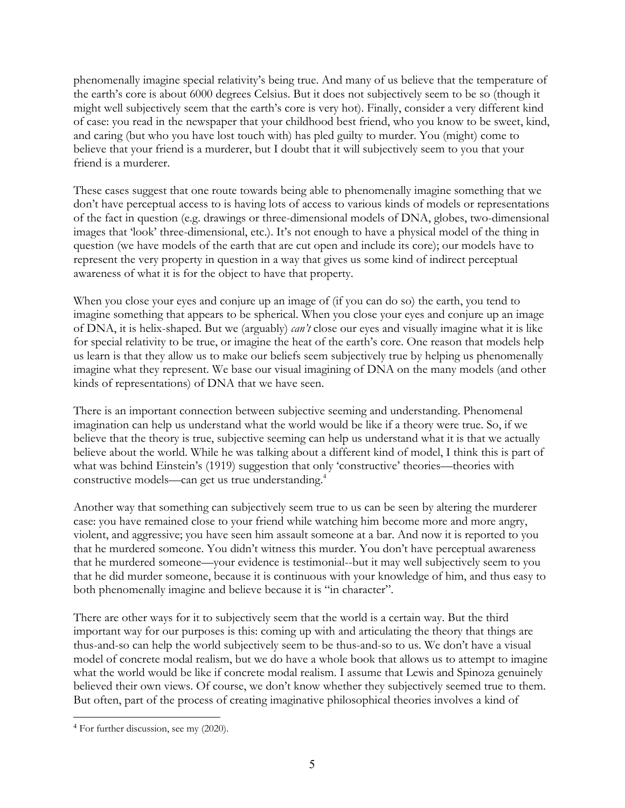phenomenally imagine special relativity's being true. And many of us believe that the temperature of the earth's core is about 6000 degrees Celsius. But it does not subjectively seem to be so (though it might well subjectively seem that the earth's core is very hot). Finally, consider a very different kind of case: you read in the newspaper that your childhood best friend, who you know to be sweet, kind, and caring (but who you have lost touch with) has pled guilty to murder. You (might) come to believe that your friend is a murderer, but I doubt that it will subjectively seem to you that your friend is a murderer.

These cases suggest that one route towards being able to phenomenally imagine something that we don't have perceptual access to is having lots of access to various kinds of models or representations of the fact in question (e.g. drawings or three-dimensional models of DNA, globes, two-dimensional images that 'look' three-dimensional, etc.). It's not enough to have a physical model of the thing in question (we have models of the earth that are cut open and include its core); our models have to represent the very property in question in a way that gives us some kind of indirect perceptual awareness of what it is for the object to have that property.

When you close your eyes and conjure up an image of (if you can do so) the earth, you tend to imagine something that appears to be spherical. When you close your eyes and conjure up an image of DNA, it is helix-shaped. But we (arguably) *can't* close our eyes and visually imagine what it is like for special relativity to be true, or imagine the heat of the earth's core. One reason that models help us learn is that they allow us to make our beliefs seem subjectively true by helping us phenomenally imagine what they represent. We base our visual imagining of DNA on the many models (and other kinds of representations) of DNA that we have seen.

There is an important connection between subjective seeming and understanding. Phenomenal imagination can help us understand what the world would be like if a theory were true. So, if we believe that the theory is true, subjective seeming can help us understand what it is that we actually believe about the world. While he was talking about a different kind of model, I think this is part of what was behind Einstein's (1919) suggestion that only 'constructive' theories—theories with constructive models—can get us true understanding.4

Another way that something can subjectively seem true to us can be seen by altering the murderer case: you have remained close to your friend while watching him become more and more angry, violent, and aggressive; you have seen him assault someone at a bar. And now it is reported to you that he murdered someone. You didn't witness this murder. You don't have perceptual awareness that he murdered someone—your evidence is testimonial--but it may well subjectively seem to you that he did murder someone, because it is continuous with your knowledge of him, and thus easy to both phenomenally imagine and believe because it is "in character".

There are other ways for it to subjectively seem that the world is a certain way. But the third important way for our purposes is this: coming up with and articulating the theory that things are thus-and-so can help the world subjectively seem to be thus-and-so to us. We don't have a visual model of concrete modal realism, but we do have a whole book that allows us to attempt to imagine what the world would be like if concrete modal realism. I assume that Lewis and Spinoza genuinely believed their own views. Of course, we don't know whether they subjectively seemed true to them. But often, part of the process of creating imaginative philosophical theories involves a kind of

 <sup>4</sup> For further discussion, see my (2020).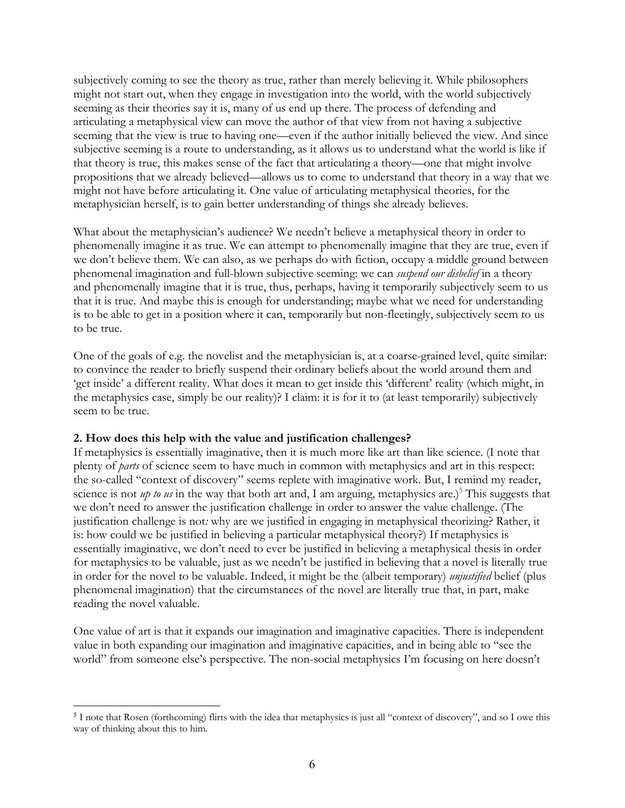subjectively coming to see the theory as true, rather than merely believing it. While philosophers might not start out, when they engage in investigation into the world, with the world subjectively seeming as their theories say it is, many of us end up there. The process of defending and articulating a metaphysical view can move the author of that view from not having a subjective seeming that the view is true to having one—even if the author initially believed the view. And since subjective seeming is a route to understanding, as it allows us to understand what the world is like if that theory is true, this makes sense of the fact that articulating a theory—one that might involve propositions that we already believed—allows us to come to understand that theory in a way that we might not have before articulating it. One value of articulating metaphysical theories, for the metaphysician herself, is to gain better understanding of things she already believes.

What about the metaphysician's audience? We needn't believe a metaphysical theory in order to phenomenally imagine it as true. We can attempt to phenomenally imagine that they are true, even if we don't believe them. We can also, as we perhaps do with fiction, occupy a middle ground between phenomenal imagination and full-blown subjective seeming: we can *suspend our disbelief* in a theory and phenomenally imagine that it is true, thus, perhaps, having it temporarily subjectively seem to us that it is true. And maybe this is enough for understanding; maybe what we need for understanding is to be able to get in a position where it can, temporarily but non-fleetingly, subjectively seem to us to be true.

One of the goals of e.g. the novelist and the metaphysician is, at a coarse-grained level, quite similar: to convince the reader to briefly suspend their ordinary beliefs about the world around them and 'get inside' a different reality. What does it mean to get inside this 'different' reality (which might, in the metaphysics case, simply be our reality)? I claim: it is for it to (at least temporarily) subjectively seem to be true.

# **2. How does this help with the value and justification challenges?**

If metaphysics is essentially imaginative, then it is much more like art than like science. (I note that plenty of *parts* of science seem to have much in common with metaphysics and art in this respect: the so-called "context of discovery" seems replete with imaginative work. But, I remind my reader, science is not  $u_p$  to us in the way that both art and, I am arguing, metaphysics are.)<sup>5</sup> This suggests that we don't need to answer the justification challenge in order to answer the value challenge. (The justification challenge is not*:* why are we justified in engaging in metaphysical theorizing? Rather, it is: how could we be justified in believing a particular metaphysical theory?) If metaphysics is essentially imaginative, we don't need to ever be justified in believing a metaphysical thesis in order for metaphysics to be valuable, just as we needn't be justified in believing that a novel is literally true in order for the novel to be valuable. Indeed, it might be the (albeit temporary) *unjustified* belief (plus phenomenal imagination) that the circumstances of the novel are literally true that, in part, make reading the novel valuable.

One value of art is that it expands our imagination and imaginative capacities. There is independent value in both expanding our imagination and imaginative capacities, and in being able to "see the world" from someone else's perspective. The non-social metaphysics I'm focusing on here doesn't

 <sup>5</sup> I note that Rosen (forthcoming) flirts with the idea that metaphysics is just all "context of discovery", and so I owe this way of thinking about this to him.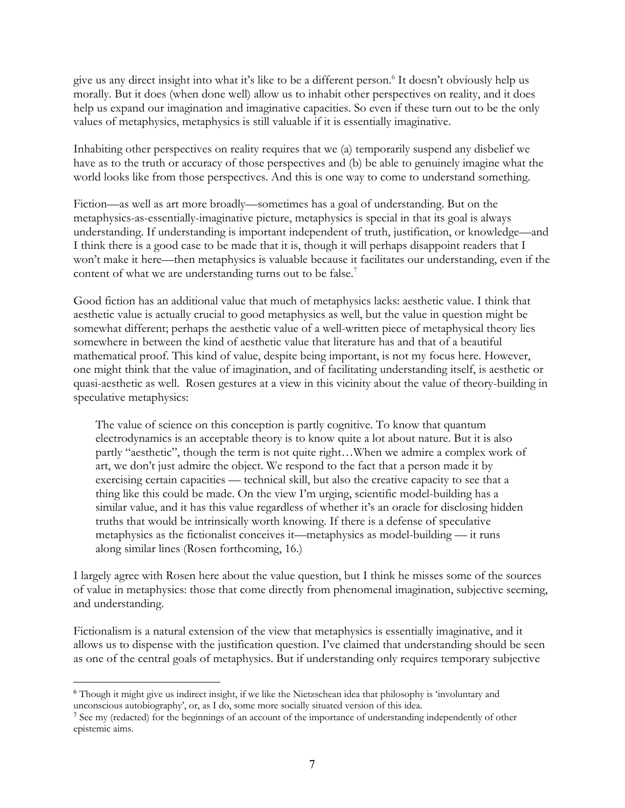give us any direct insight into what it's like to be a different person.<sup>6</sup> It doesn't obviously help us morally. But it does (when done well) allow us to inhabit other perspectives on reality, and it does help us expand our imagination and imaginative capacities. So even if these turn out to be the only values of metaphysics, metaphysics is still valuable if it is essentially imaginative.

Inhabiting other perspectives on reality requires that we (a) temporarily suspend any disbelief we have as to the truth or accuracy of those perspectives and (b) be able to genuinely imagine what the world looks like from those perspectives. And this is one way to come to understand something.

Fiction—as well as art more broadly—sometimes has a goal of understanding. But on the metaphysics-as-essentially-imaginative picture, metaphysics is special in that its goal is always understanding. If understanding is important independent of truth, justification, or knowledge—and I think there is a good case to be made that it is, though it will perhaps disappoint readers that I won't make it here—then metaphysics is valuable because it facilitates our understanding, even if the content of what we are understanding turns out to be false.<sup>7</sup>

Good fiction has an additional value that much of metaphysics lacks: aesthetic value. I think that aesthetic value is actually crucial to good metaphysics as well, but the value in question might be somewhat different; perhaps the aesthetic value of a well-written piece of metaphysical theory lies somewhere in between the kind of aesthetic value that literature has and that of a beautiful mathematical proof. This kind of value, despite being important, is not my focus here. However, one might think that the value of imagination, and of facilitating understanding itself, is aesthetic or quasi-aesthetic as well. Rosen gestures at a view in this vicinity about the value of theory-building in speculative metaphysics:

The value of science on this conception is partly cognitive. To know that quantum electrodynamics is an acceptable theory is to know quite a lot about nature. But it is also partly "aesthetic", though the term is not quite right…When we admire a complex work of art, we don't just admire the object. We respond to the fact that a person made it by exercising certain capacities — technical skill, but also the creative capacity to see that a thing like this could be made. On the view I'm urging, scientific model-building has a similar value, and it has this value regardless of whether it's an oracle for disclosing hidden truths that would be intrinsically worth knowing. If there is a defense of speculative metaphysics as the fictionalist conceives it—metaphysics as model-building — it runs along similar lines (Rosen forthcoming, 16.)

I largely agree with Rosen here about the value question, but I think he misses some of the sources of value in metaphysics: those that come directly from phenomenal imagination, subjective seeming, and understanding.

Fictionalism is a natural extension of the view that metaphysics is essentially imaginative, and it allows us to dispense with the justification question. I've claimed that understanding should be seen as one of the central goals of metaphysics. But if understanding only requires temporary subjective

 <sup>6</sup> Though it might give us indirect insight, if we like the Nietzschean idea that philosophy is 'involuntary and unconscious autobiography', or, as I do, some more socially situated version of this idea.

<sup>7</sup> See my (redacted) for the beginnings of an account of the importance of understanding independently of other epistemic aims.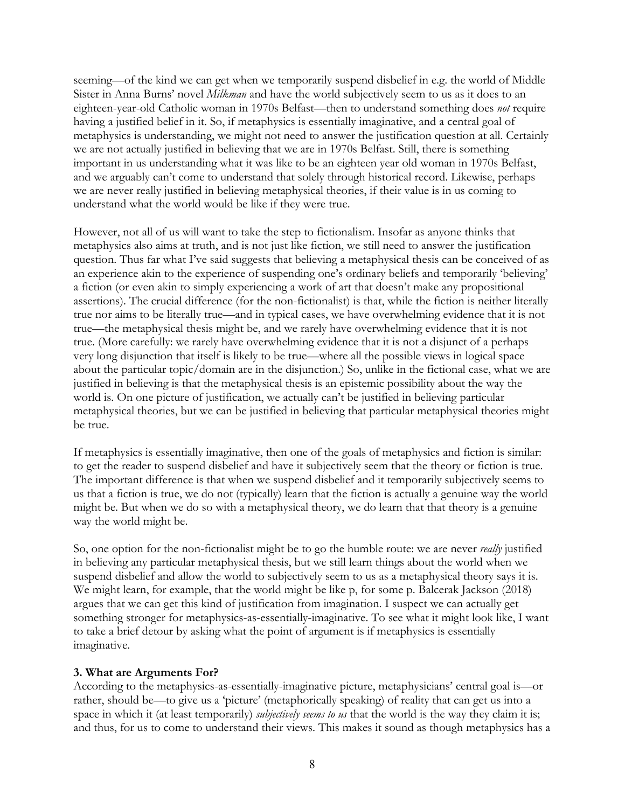seeming—of the kind we can get when we temporarily suspend disbelief in e.g. the world of Middle Sister in Anna Burns' novel *Milkman* and have the world subjectively seem to us as it does to an eighteen-year-old Catholic woman in 1970s Belfast—then to understand something does *not* require having a justified belief in it. So, if metaphysics is essentially imaginative, and a central goal of metaphysics is understanding, we might not need to answer the justification question at all. Certainly we are not actually justified in believing that we are in 1970s Belfast. Still, there is something important in us understanding what it was like to be an eighteen year old woman in 1970s Belfast, and we arguably can't come to understand that solely through historical record. Likewise, perhaps we are never really justified in believing metaphysical theories, if their value is in us coming to understand what the world would be like if they were true.

However, not all of us will want to take the step to fictionalism. Insofar as anyone thinks that metaphysics also aims at truth, and is not just like fiction, we still need to answer the justification question. Thus far what I've said suggests that believing a metaphysical thesis can be conceived of as an experience akin to the experience of suspending one's ordinary beliefs and temporarily 'believing' a fiction (or even akin to simply experiencing a work of art that doesn't make any propositional assertions). The crucial difference (for the non-fictionalist) is that, while the fiction is neither literally true nor aims to be literally true—and in typical cases, we have overwhelming evidence that it is not true—the metaphysical thesis might be, and we rarely have overwhelming evidence that it is not true. (More carefully: we rarely have overwhelming evidence that it is not a disjunct of a perhaps very long disjunction that itself is likely to be true—where all the possible views in logical space about the particular topic/domain are in the disjunction.) So, unlike in the fictional case, what we are justified in believing is that the metaphysical thesis is an epistemic possibility about the way the world is. On one picture of justification, we actually can't be justified in believing particular metaphysical theories, but we can be justified in believing that particular metaphysical theories might be true.

If metaphysics is essentially imaginative, then one of the goals of metaphysics and fiction is similar: to get the reader to suspend disbelief and have it subjectively seem that the theory or fiction is true. The important difference is that when we suspend disbelief and it temporarily subjectively seems to us that a fiction is true, we do not (typically) learn that the fiction is actually a genuine way the world might be. But when we do so with a metaphysical theory, we do learn that that theory is a genuine way the world might be.

So, one option for the non-fictionalist might be to go the humble route: we are never *really* justified in believing any particular metaphysical thesis, but we still learn things about the world when we suspend disbelief and allow the world to subjectively seem to us as a metaphysical theory says it is. We might learn, for example, that the world might be like p, for some p. Balcerak Jackson (2018) argues that we can get this kind of justification from imagination. I suspect we can actually get something stronger for metaphysics-as-essentially-imaginative. To see what it might look like, I want to take a brief detour by asking what the point of argument is if metaphysics is essentially imaginative.

# **3. What are Arguments For?**

According to the metaphysics-as-essentially-imaginative picture, metaphysicians' central goal is—or rather, should be*—*to give us a 'picture' (metaphorically speaking) of reality that can get us into a space in which it (at least temporarily) *subjectively seems to us* that the world is the way they claim it is; and thus, for us to come to understand their views. This makes it sound as though metaphysics has a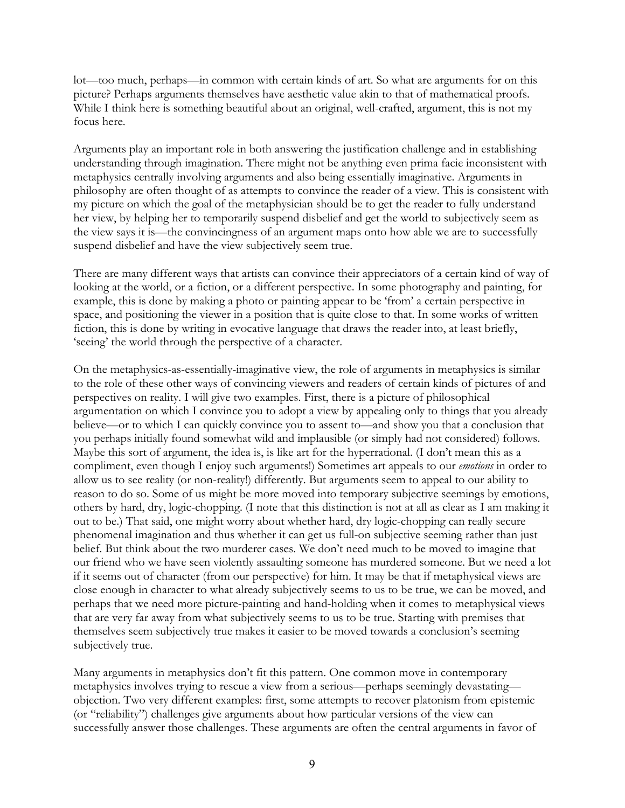lot—too much, perhaps—in common with certain kinds of art. So what are arguments for on this picture? Perhaps arguments themselves have aesthetic value akin to that of mathematical proofs. While I think here is something beautiful about an original, well-crafted, argument, this is not my focus here.

Arguments play an important role in both answering the justification challenge and in establishing understanding through imagination. There might not be anything even prima facie inconsistent with metaphysics centrally involving arguments and also being essentially imaginative. Arguments in philosophy are often thought of as attempts to convince the reader of a view. This is consistent with my picture on which the goal of the metaphysician should be to get the reader to fully understand her view, by helping her to temporarily suspend disbelief and get the world to subjectively seem as the view says it is—the convincingness of an argument maps onto how able we are to successfully suspend disbelief and have the view subjectively seem true.

There are many different ways that artists can convince their appreciators of a certain kind of way of looking at the world, or a fiction, or a different perspective. In some photography and painting, for example, this is done by making a photo or painting appear to be 'from' a certain perspective in space, and positioning the viewer in a position that is quite close to that. In some works of written fiction, this is done by writing in evocative language that draws the reader into, at least briefly, 'seeing' the world through the perspective of a character.

On the metaphysics-as-essentially-imaginative view, the role of arguments in metaphysics is similar to the role of these other ways of convincing viewers and readers of certain kinds of pictures of and perspectives on reality. I will give two examples. First, there is a picture of philosophical argumentation on which I convince you to adopt a view by appealing only to things that you already believe—or to which I can quickly convince you to assent to—and show you that a conclusion that you perhaps initially found somewhat wild and implausible (or simply had not considered) follows. Maybe this sort of argument, the idea is, is like art for the hyperrational. (I don't mean this as a compliment, even though I enjoy such arguments!) Sometimes art appeals to our *emotions* in order to allow us to see reality (or non-reality!) differently. But arguments seem to appeal to our ability to reason to do so. Some of us might be more moved into temporary subjective seemings by emotions, others by hard, dry, logic-chopping. (I note that this distinction is not at all as clear as I am making it out to be.) That said, one might worry about whether hard, dry logic-chopping can really secure phenomenal imagination and thus whether it can get us full-on subjective seeming rather than just belief. But think about the two murderer cases. We don't need much to be moved to imagine that our friend who we have seen violently assaulting someone has murdered someone. But we need a lot if it seems out of character (from our perspective) for him. It may be that if metaphysical views are close enough in character to what already subjectively seems to us to be true, we can be moved, and perhaps that we need more picture-painting and hand-holding when it comes to metaphysical views that are very far away from what subjectively seems to us to be true. Starting with premises that themselves seem subjectively true makes it easier to be moved towards a conclusion's seeming subjectively true.

Many arguments in metaphysics don't fit this pattern. One common move in contemporary metaphysics involves trying to rescue a view from a serious—perhaps seemingly devastating objection. Two very different examples: first, some attempts to recover platonism from epistemic (or "reliability") challenges give arguments about how particular versions of the view can successfully answer those challenges. These arguments are often the central arguments in favor of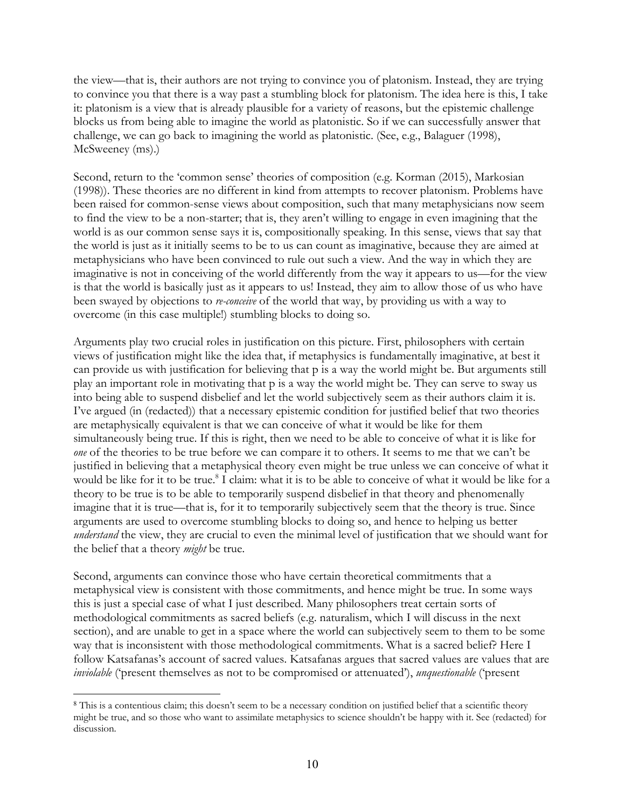the view—that is, their authors are not trying to convince you of platonism. Instead, they are trying to convince you that there is a way past a stumbling block for platonism. The idea here is this, I take it: platonism is a view that is already plausible for a variety of reasons, but the epistemic challenge blocks us from being able to imagine the world as platonistic. So if we can successfully answer that challenge, we can go back to imagining the world as platonistic. (See, e.g., Balaguer (1998), McSweeney (ms).)

Second, return to the 'common sense' theories of composition (e.g. Korman (2015), Markosian (1998)). These theories are no different in kind from attempts to recover platonism. Problems have been raised for common-sense views about composition, such that many metaphysicians now seem to find the view to be a non-starter; that is, they aren't willing to engage in even imagining that the world is as our common sense says it is, compositionally speaking. In this sense, views that say that the world is just as it initially seems to be to us can count as imaginative, because they are aimed at metaphysicians who have been convinced to rule out such a view. And the way in which they are imaginative is not in conceiving of the world differently from the way it appears to us—for the view is that the world is basically just as it appears to us! Instead, they aim to allow those of us who have been swayed by objections to *re-conceive* of the world that way, by providing us with a way to overcome (in this case multiple!) stumbling blocks to doing so.

Arguments play two crucial roles in justification on this picture. First, philosophers with certain views of justification might like the idea that, if metaphysics is fundamentally imaginative, at best it can provide us with justification for believing that p is a way the world might be. But arguments still play an important role in motivating that p is a way the world might be. They can serve to sway us into being able to suspend disbelief and let the world subjectively seem as their authors claim it is. I've argued (in (redacted)) that a necessary epistemic condition for justified belief that two theories are metaphysically equivalent is that we can conceive of what it would be like for them simultaneously being true. If this is right, then we need to be able to conceive of what it is like for *one* of the theories to be true before we can compare it to others. It seems to me that we can't be justified in believing that a metaphysical theory even might be true unless we can conceive of what it would be like for it to be true.<sup>8</sup> I claim: what it is to be able to conceive of what it would be like for a theory to be true is to be able to temporarily suspend disbelief in that theory and phenomenally imagine that it is true—that is, for it to temporarily subjectively seem that the theory is true. Since arguments are used to overcome stumbling blocks to doing so, and hence to helping us better *understand* the view, they are crucial to even the minimal level of justification that we should want for the belief that a theory *might* be true.

Second, arguments can convince those who have certain theoretical commitments that a metaphysical view is consistent with those commitments, and hence might be true. In some ways this is just a special case of what I just described. Many philosophers treat certain sorts of methodological commitments as sacred beliefs (e.g. naturalism, which I will discuss in the next section), and are unable to get in a space where the world can subjectively seem to them to be some way that is inconsistent with those methodological commitments. What is a sacred belief? Here I follow Katsafanas's account of sacred values. Katsafanas argues that sacred values are values that are *inviolable* ('present themselves as not to be compromised or attenuated'), *unquestionable* ('present

<sup>&</sup>lt;sup>8</sup> This is a contentious claim; this doesn't seem to be a necessary condition on justified belief that a scientific theory might be true, and so those who want to assimilate metaphysics to science shouldn't be happy with it. See (redacted) for discussion.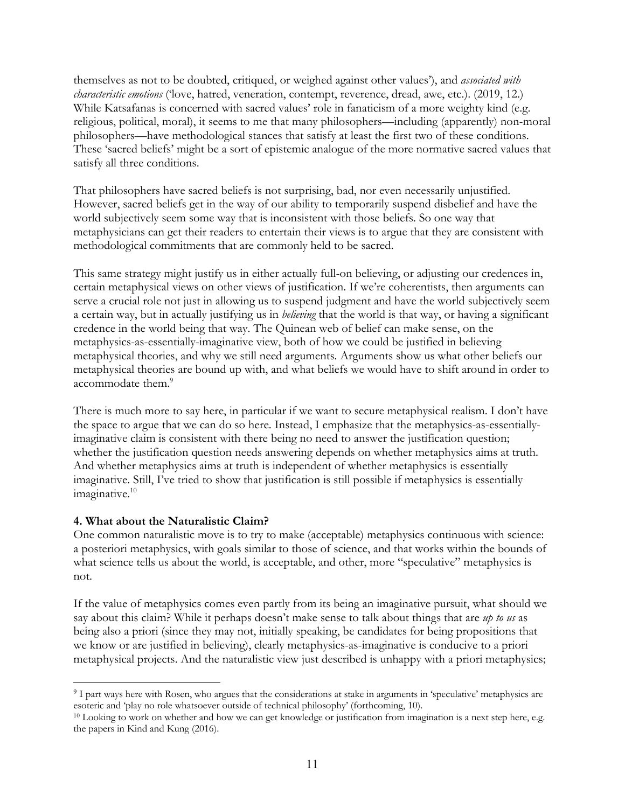themselves as not to be doubted, critiqued, or weighed against other values'), and *associated with characteristic emotions* ('love, hatred, veneration, contempt, reverence, dread, awe, etc.). (2019, 12.) While Katsafanas is concerned with sacred values' role in fanaticism of a more weighty kind (e.g. religious, political, moral), it seems to me that many philosophers—including (apparently) non-moral philosophers—have methodological stances that satisfy at least the first two of these conditions. These 'sacred beliefs' might be a sort of epistemic analogue of the more normative sacred values that satisfy all three conditions.

That philosophers have sacred beliefs is not surprising, bad, nor even necessarily unjustified. However, sacred beliefs get in the way of our ability to temporarily suspend disbelief and have the world subjectively seem some way that is inconsistent with those beliefs. So one way that metaphysicians can get their readers to entertain their views is to argue that they are consistent with methodological commitments that are commonly held to be sacred.

This same strategy might justify us in either actually full-on believing, or adjusting our credences in, certain metaphysical views on other views of justification. If we're coherentists, then arguments can serve a crucial role not just in allowing us to suspend judgment and have the world subjectively seem a certain way, but in actually justifying us in *believing* that the world is that way, or having a significant credence in the world being that way. The Quinean web of belief can make sense, on the metaphysics-as-essentially-imaginative view, both of how we could be justified in believing metaphysical theories, and why we still need arguments*.* Arguments show us what other beliefs our metaphysical theories are bound up with, and what beliefs we would have to shift around in order to accommodate them.<sup>9</sup>

There is much more to say here, in particular if we want to secure metaphysical realism. I don't have the space to argue that we can do so here. Instead, I emphasize that the metaphysics-as-essentiallyimaginative claim is consistent with there being no need to answer the justification question; whether the justification question needs answering depends on whether metaphysics aims at truth. And whether metaphysics aims at truth is independent of whether metaphysics is essentially imaginative. Still, I've tried to show that justification is still possible if metaphysics is essentially imaginative. 10

# **4. What about the Naturalistic Claim?**

One common naturalistic move is to try to make (acceptable) metaphysics continuous with science: a posteriori metaphysics, with goals similar to those of science, and that works within the bounds of what science tells us about the world, is acceptable, and other, more "speculative" metaphysics is not.

If the value of metaphysics comes even partly from its being an imaginative pursuit, what should we say about this claim? While it perhaps doesn't make sense to talk about things that are *up to us* as being also a priori (since they may not, initially speaking, be candidates for being propositions that we know or are justified in believing), clearly metaphysics-as-imaginative is conducive to a priori metaphysical projects. And the naturalistic view just described is unhappy with a priori metaphysics;

 <sup>9</sup> I part ways here with Rosen, who argues that the considerations at stake in arguments in 'speculative' metaphysics are esoteric and 'play no role whatsoever outside of technical philosophy' (forthcoming, 10).

<sup>&</sup>lt;sup>10</sup> Looking to work on whether and how we can get knowledge or justification from imagination is a next step here, e.g. the papers in Kind and Kung (2016).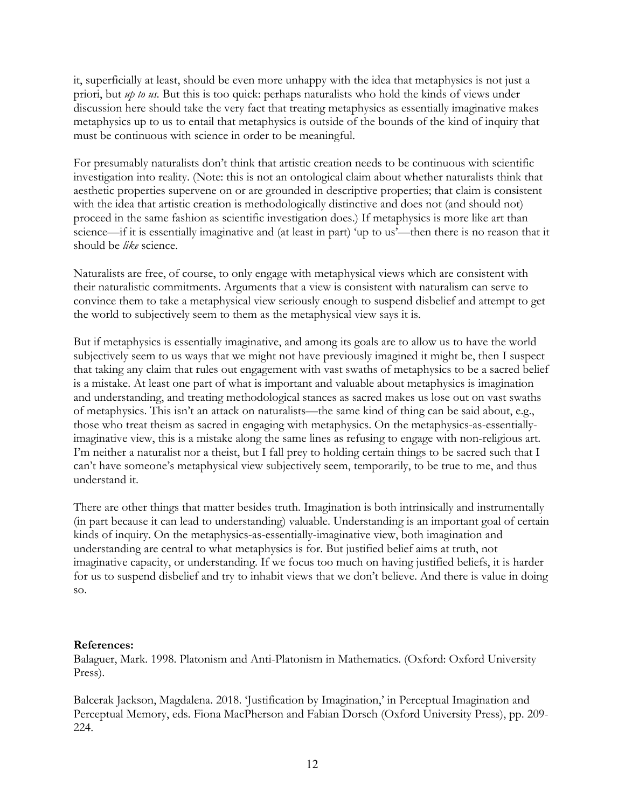it, superficially at least, should be even more unhappy with the idea that metaphysics is not just a priori, but *up to us*. But this is too quick: perhaps naturalists who hold the kinds of views under discussion here should take the very fact that treating metaphysics as essentially imaginative makes metaphysics up to us to entail that metaphysics is outside of the bounds of the kind of inquiry that must be continuous with science in order to be meaningful.

For presumably naturalists don't think that artistic creation needs to be continuous with scientific investigation into reality. (Note: this is not an ontological claim about whether naturalists think that aesthetic properties supervene on or are grounded in descriptive properties; that claim is consistent with the idea that artistic creation is methodologically distinctive and does not (and should not) proceed in the same fashion as scientific investigation does.) If metaphysics is more like art than science—if it is essentially imaginative and (at least in part) 'up to us'—then there is no reason that it should be *like* science.

Naturalists are free, of course, to only engage with metaphysical views which are consistent with their naturalistic commitments. Arguments that a view is consistent with naturalism can serve to convince them to take a metaphysical view seriously enough to suspend disbelief and attempt to get the world to subjectively seem to them as the metaphysical view says it is.

But if metaphysics is essentially imaginative, and among its goals are to allow us to have the world subjectively seem to us ways that we might not have previously imagined it might be, then I suspect that taking any claim that rules out engagement with vast swaths of metaphysics to be a sacred belief is a mistake. At least one part of what is important and valuable about metaphysics is imagination and understanding, and treating methodological stances as sacred makes us lose out on vast swaths of metaphysics. This isn't an attack on naturalists—the same kind of thing can be said about, e.g., those who treat theism as sacred in engaging with metaphysics. On the metaphysics-as-essentiallyimaginative view, this is a mistake along the same lines as refusing to engage with non-religious art. I'm neither a naturalist nor a theist, but I fall prey to holding certain things to be sacred such that I can't have someone's metaphysical view subjectively seem, temporarily, to be true to me, and thus understand it.

There are other things that matter besides truth. Imagination is both intrinsically and instrumentally (in part because it can lead to understanding) valuable. Understanding is an important goal of certain kinds of inquiry. On the metaphysics-as-essentially-imaginative view, both imagination and understanding are central to what metaphysics is for. But justified belief aims at truth, not imaginative capacity, or understanding. If we focus too much on having justified beliefs, it is harder for us to suspend disbelief and try to inhabit views that we don't believe. And there is value in doing so.

#### **References:**

Balaguer, Mark. 1998. Platonism and Anti-Platonism in Mathematics. (Oxford: Oxford University Press).

Balcerak Jackson, Magdalena. 2018. 'Justification by Imagination,' in Perceptual Imagination and Perceptual Memory, eds. Fiona MacPherson and Fabian Dorsch (Oxford University Press), pp. 209- 224.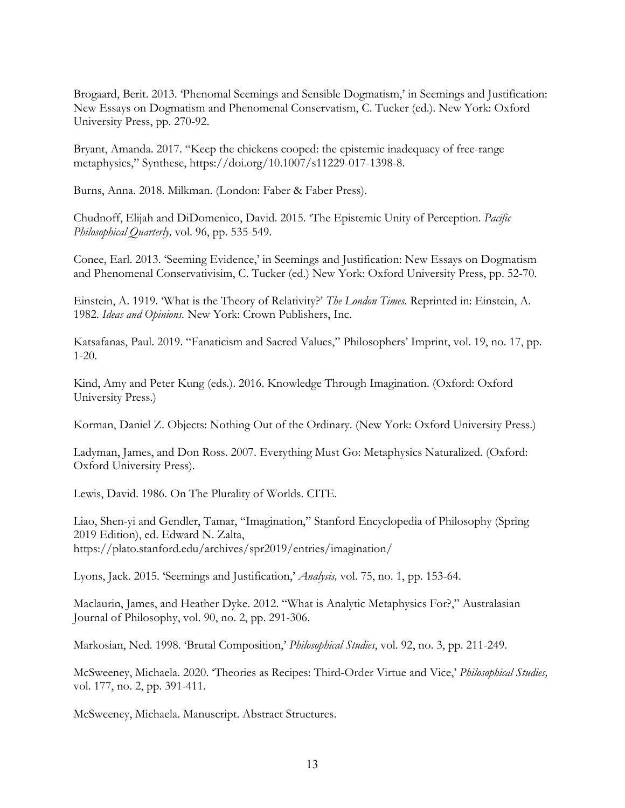Brogaard, Berit. 2013. 'Phenomal Seemings and Sensible Dogmatism,' in Seemings and Justification: New Essays on Dogmatism and Phenomenal Conservatism, C. Tucker (ed.). New York: Oxford University Press, pp. 270-92.

Bryant, Amanda. 2017. "Keep the chickens cooped: the epistemic inadequacy of free-range metaphysics," Synthese, https://doi.org/10.1007/s11229-017-1398-8.

Burns, Anna. 2018. Milkman. (London: Faber & Faber Press).

Chudnoff, Elijah and DiDomenico, David. 2015. 'The Epistemic Unity of Perception. *Pacific Philosophical Quarterly,* vol. 96, pp. 535-549.

Conee, Earl. 2013. 'Seeming Evidence,' in Seemings and Justification: New Essays on Dogmatism and Phenomenal Conservativisim, C. Tucker (ed.) New York: Oxford University Press, pp. 52-70.

Einstein, A. 1919. 'What is the Theory of Relativity?' *The London Times.* Reprinted in: Einstein, A. 1982. *Ideas and Opinions.* New York: Crown Publishers, Inc.

Katsafanas, Paul. 2019. "Fanaticism and Sacred Values," Philosophers' Imprint, vol. 19, no. 17, pp. 1-20.

Kind, Amy and Peter Kung (eds.). 2016. Knowledge Through Imagination. (Oxford: Oxford University Press.)

Korman, Daniel Z. Objects: Nothing Out of the Ordinary. (New York: Oxford University Press.)

Ladyman, James, and Don Ross. 2007. Everything Must Go: Metaphysics Naturalized. (Oxford: Oxford University Press).

Lewis, David. 1986. On The Plurality of Worlds. CITE.

Liao, Shen-yi and Gendler, Tamar, "Imagination," Stanford Encyclopedia of Philosophy (Spring 2019 Edition), ed. Edward N. Zalta, https://plato.stanford.edu/archives/spr2019/entries/imagination/

Lyons, Jack. 2015. 'Seemings and Justification,' *Analysis,* vol. 75, no. 1, pp. 153-64.

Maclaurin, James, and Heather Dyke. 2012. "What is Analytic Metaphysics For?," Australasian Journal of Philosophy, vol. 90, no. 2, pp. 291-306.

Markosian, Ned. 1998. 'Brutal Composition,' *Philosophical Studies*, vol. 92, no. 3, pp. 211-249.

McSweeney, Michaela. 2020. 'Theories as Recipes: Third-Order Virtue and Vice,' *Philosophical Studies,*  vol. 177, no. 2, pp. 391-411.

McSweeney, Michaela. Manuscript. Abstract Structures.